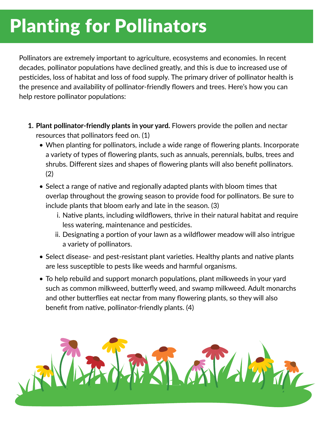## Planting for Pollinators

Pollinators are extremely important to agriculture, ecosystems and economies. In recent decades, pollinator populations have declined greatly, and this is due to increased use of pesticides, loss of habitat and loss of food supply. The primary driver of pollinator health is the presence and availability of pollinator-friendly flowers and trees. Here's how you can help restore pollinator populations:

- **1. Plant pollinator-friendly plants in your yard.** Flowers provide the pollen and nectar resources that pollinators feed on. (1)
	- When planting for pollinators, include a wide range of flowering plants. Incorporate a variety of types of flowering plants, such as annuals, perennials, bulbs, trees and shrubs. Different sizes and shapes of flowering plants will also benefit pollinators. (2)
	- Select a range of native and regionally adapted plants with bloom times that overlap throughout the growing season to provide food for pollinators. Be sure to include plants that bloom early and late in the season. (3)
		- i. Native plants, including wildflowers, thrive in their natural habitat and require less watering, maintenance and pesticides.
		- ii. Designating a portion of your lawn as a wildflower meadow will also intrigue a variety of pollinators.
	- Select disease- and pest-resistant plant varieties. Healthy plants and native plants are less susceptible to pests like weeds and harmful organisms.
	- To help rebuild and support monarch populations, plant milkweeds in your yard such as common milkweed, butterfly weed, and swamp milkweed. Adult monarchs and other butterflies eat nectar from many flowering plants, so they will also benefit from native, pollinator-friendly plants. (4)